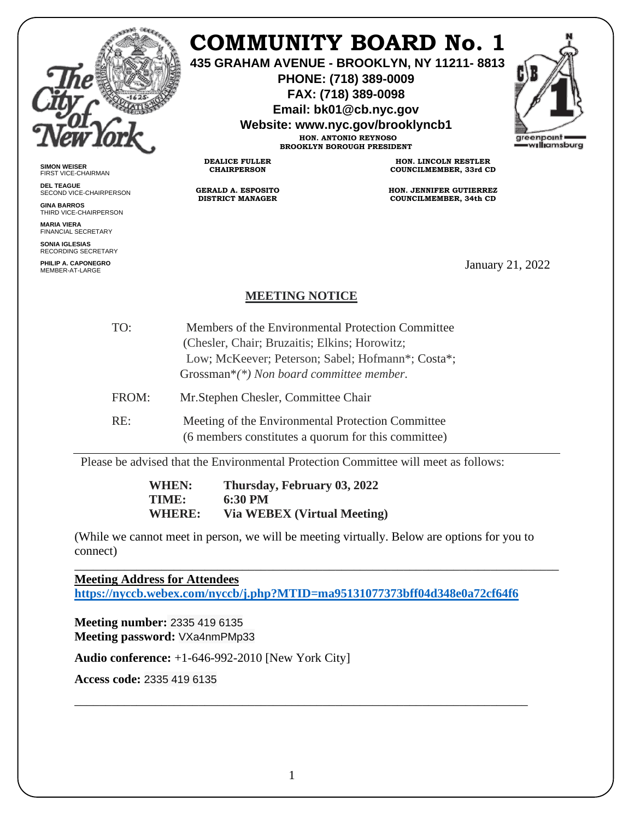

# **COMMUNITY BOARD No. 1**

**435 GRAHAM AVENUE - BROOKLYN, NY 11211- 8813**

**PHONE: (718) 389-0009 FAX: (718) 389-0098**

**Email: bk01@cb.nyc.gov**

**Website: www.nyc.gov/brooklyncb1**

**HON. ANTONIO REYNOSO BROOKLYN BOROUGH PRESIDENT**



**SIMON WEISER** FIRST VICE-CHAIRMAN

**DEL TEAGUE** SECOND VICE-CHAIRPERSON

**GINA BARROS** THIRD VICE-CHAIRPERSON

**MARIA VIERA** FINANCIAL SECRETARY

**SONIA IGLESIAS** RECORDING SECRETARY

**PHILIP A. CAPONEGRO**

**HON. LINCOLN RESTLER COUNCILMEMBER, 33rd CD**

**HON. JENNIFER GUTIERREZ COUNCILMEMBER, 34th CD**

January 21, 2022

## **MEETING NOTICE**

- TO: Members of the Environmental Protection Committee (Chesler, Chair; Bruzaitis; Elkins; Horowitz; FROM: Low; McKeever; Peterson; Sabel; Hofmann\*; Costa\*; Grossman\**(\*) Non board committee member.* Mr.Stephen Chesler, Committee Chair
- 

**DEALICE FULLER CHAIRPERSON**

**GERALD A. ESPOSITO DISTRICT MANAGER**

RE: Meeting of the Environmental Protection Committee (6 members constitutes a quorum for this committee)

Please be advised that the Environmental Protection Committee will meet as follows:

**WHEN: Thursday, February 03, 2022 TIME: 6:30 PM WHERE: Via WEBEX (Virtual Meeting)** 

(While we cannot meet in person, we will be meeting virtually. Below are options for you to connect)

\_\_\_\_\_\_\_\_\_\_\_\_\_\_\_\_\_\_\_\_\_\_\_\_\_\_\_\_\_\_\_\_\_\_\_\_\_\_\_\_\_\_\_\_\_\_\_\_\_\_\_\_\_\_\_\_\_\_\_\_\_\_\_\_\_\_\_\_\_\_\_\_\_\_\_\_\_\_

**Meeting Address for Attendees <https://nyccb.webex.com/nyccb/j.php?MTID=ma95131077373bff04d348e0a72cf64f6>**

**Meeting number:** 2335 419 6135 **Meeting password:** VXa4nmPMp33

**Audio conference:** +1-646-992-2010 [New York City]

**Access code:** 2335 419 6135

\_\_\_\_\_\_\_\_\_\_\_\_\_\_\_\_\_\_\_\_\_\_\_\_\_\_\_\_\_\_\_\_\_\_\_\_\_\_\_\_\_\_\_\_\_\_\_\_\_\_\_\_\_\_\_\_\_\_\_\_\_\_\_\_\_\_\_\_\_\_\_\_\_